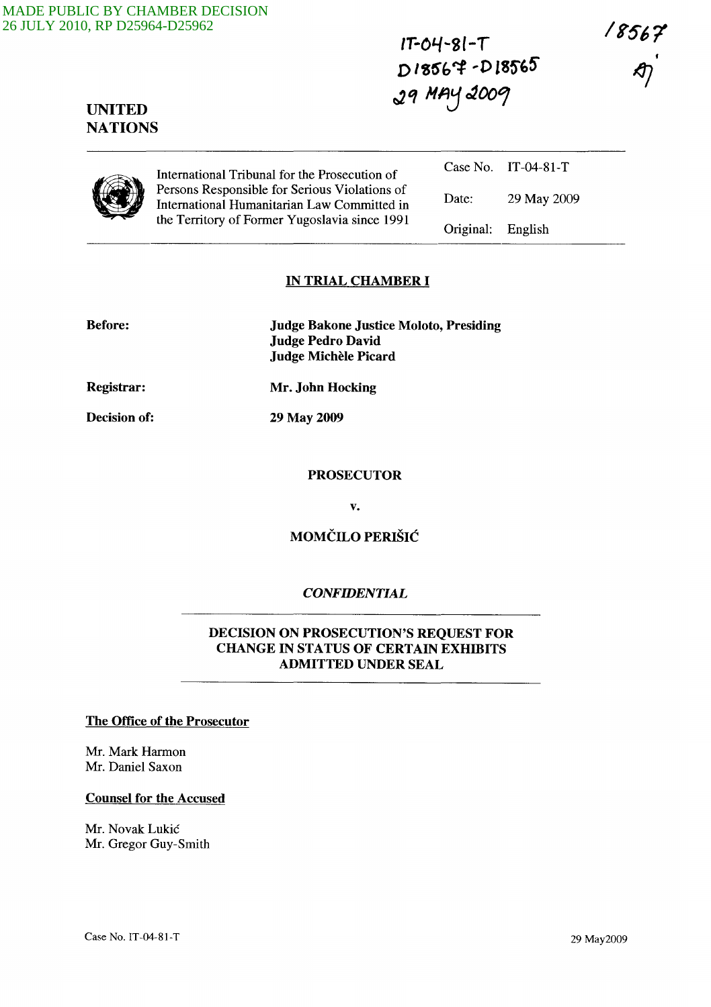**IT-OL./-Sl-T**   $D$ **18567 -D18565 r:2'1 HAj** ~OO,?

18567

# **UNITED NATIONS**

Case No. IT-04-81-T International Tribunal for the Prosecution of Persons Responsible for Serious Violations of International Humanitarian Law Committed in the Territory of Former Yugoslavia since 1991

Date: 29 May 2009 Original: English

### **IN TRIAL CHAMBER I**

| <b>Before:</b> | <b>Judge Bakone Justice Moloto, Presiding</b><br><b>Judge Pedro David</b><br>Judge Michèle Picard |
|----------------|---------------------------------------------------------------------------------------------------|
| Registrar:     | Mr. John Hocking                                                                                  |
| Decision of:   | 29 May 2009                                                                                       |

#### **PROSECUTOR**

v.

# **MOMCILO PERISIC**

### *CONFIDENTIAL*

# **DECISION ON PROSECUTION'S REQUEST FOR CHANGE IN STATUS OF CERTAIN EXHIBITS ADMITTED UNDER SEAL**

# **The Office of the Prosecutor**

Mr. Mark Harmon Mr. Daniel Saxon

#### **Counsel for the Accused**

Mr. Novak Lukic Mr. Gregor Guy-Smith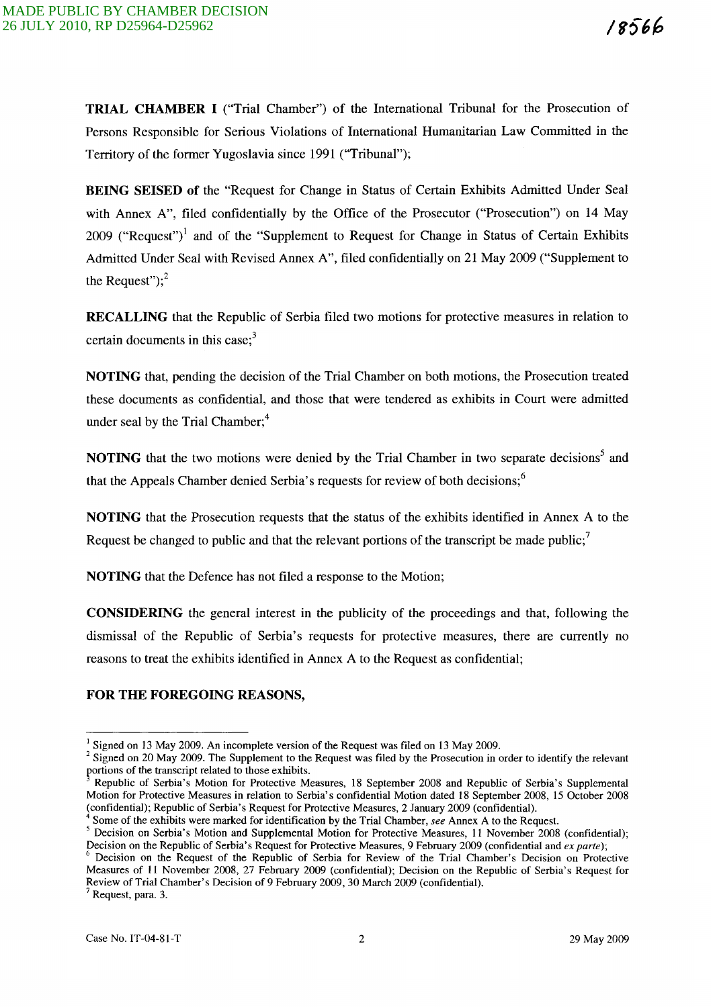TRIAL CHAMBER I ("Trial Chamber") of the International Tribunal for the Prosecution of Persons Responsible for Serious Violations of International Humanitarian Law Committed in the Territory of the former Yugoslavia since 1991 ("Tribunal");

BEING SEISED of the "Request for Change in Status of Certain Exhibits Admitted Under Seal with Annex A", filed confidentially by the Office of the Prosecutor ("Prosecution") on 14 May 2009 ("Request")<sup>1</sup> and of the "Supplement to Request for Change in Status of Certain Exhibits Admitted Under Seal with Revised Annex A", filed confidentially on 21 May 2009 ("Supplement to the Request"); $<sup>2</sup>$ </sup>

RECALLING that the Republic of Serbia filed two motions for protective measures in relation to certain documents in this case; $3<sup>3</sup>$ 

NOTING that, pending the decision of the Trial Chamber on both motions, the Prosecution treated these documents as confidential, and those that were tendered as exhibits in Court were admitted under seal by the Trial Chamber;<sup>4</sup>

NOTING that the two motions were denied by the Trial Chamber in two separate decisions<sup>5</sup> and that the Appeals Chamber denied Serbia's requests for review of both decisions;<sup>6</sup>

NOTING that the Prosecution requests that the status of the exhibits identified in Annex A to the Request be changed to public and that the relevant portions of the transcript be made public;

NOTING that the Defence has not filed a response to the Motion;

CONSIDERING the general interest in the publicity of the proceedings and that, following the dismissal of the Republic of Serbia's requests for protective measures, there are currently no reasons to treat the exhibits identified in Annex A to the Request as confidential;

#### FOR THE FOREGOING REASONS,

 $<sup>7</sup>$  Request, para. 3.</sup>

 $1$  Signed on 13 May 2009. An incomplete version of the Request was filed on 13 May 2009.

 $2$  Signed on 20 May 2009. The Supplement to the Request was filed by the Prosecution in order to identify the relevant portions of the transcript related to those exhibits.

Republic of Serbia's Motion for Protective Measures, 18 September 2008 and Republic of Serbia's Supplemental Motion for Protective Measures in relation to Serbia's confidential Motion dated 18 September 2008, 15 October 2008 (confidential); Republic of Serbia's Request for Protective Measures, 2 January 2009 (confidential).

<sup>4</sup> Some of the exhibits were marked for identification by the Trial Chamber, *see* Annex A to the Request.

<sup>&</sup>lt;sup>5</sup> Decision on Serbia's Motion and Supplemental Motion for Protective Measures, 11 November 2008 (confidential); Decision on the Republic of Serbia's Request for Protective Measures, 9 February 2009 (confidential and *ex parte);* 

<sup>6</sup> Decision on the Request of the Republic of Serbia for Review of the Trial Chamber's Decision on Protective Measures of 11 November 2008, 27 February 2009 (confidential); Decision on the Republic of Serbia's Request for Review of Trial Chamber's Decision of 9 February 2009, 30 March 2009 (confidential).